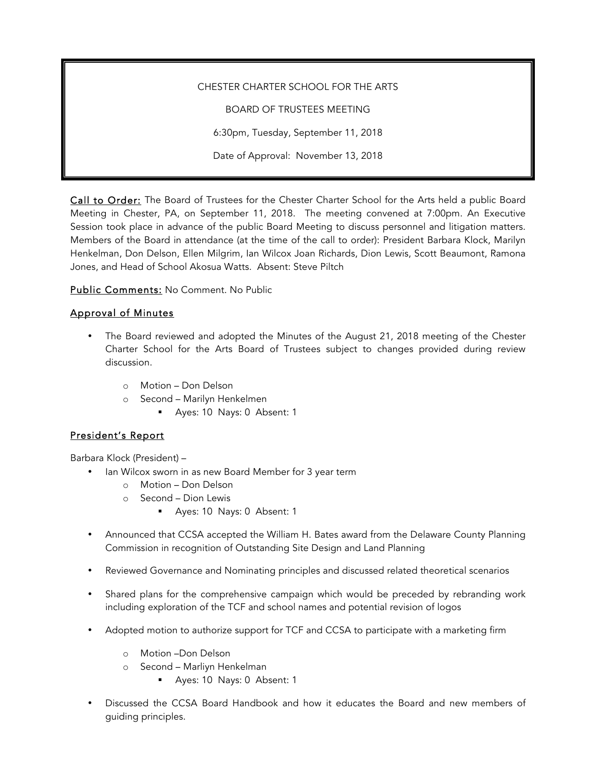CHESTER CHARTER SCHOOL FOR THE ARTS BOARD OF TRUSTEES MEETING 6:30pm, Tuesday, September 11, 2018 Date of Approval: November 13, 2018

Call to Order: The Board of Trustees for the Chester Charter School for the Arts held a public Board Meeting in Chester, PA, on September 11, 2018. The meeting convened at 7:00pm. An Executive Session took place in advance of the public Board Meeting to discuss personnel and litigation matters. Members of the Board in attendance (at the time of the call to order): President Barbara Klock, Marilyn Henkelman, Don Delson, Ellen Milgrim, Ian Wilcox Joan Richards, Dion Lewis, Scott Beaumont, Ramona Jones, and Head of School Akosua Watts. Absent: Steve Piltch

Public Comments: No Comment. No Public

## Approval of Minutes

- The Board reviewed and adopted the Minutes of the August 21, 2018 meeting of the Chester Charter School for the Arts Board of Trustees subject to changes provided during review discussion.
	- o Motion Don Delson
	- o Second Marilyn Henkelmen
		- § Ayes: 10 Nays: 0 Absent: 1

## President's Report

Barbara Klock (President) –

- Ian Wilcox sworn in as new Board Member for 3 year term
	- o Motion Don Delson
	- o Second Dion Lewis
		- § Ayes: 10 Nays: 0 Absent: 1
- Announced that CCSA accepted the William H. Bates award from the Delaware County Planning Commission in recognition of Outstanding Site Design and Land Planning
- Reviewed Governance and Nominating principles and discussed related theoretical scenarios
- Shared plans for the comprehensive campaign which would be preceded by rebranding work including exploration of the TCF and school names and potential revision of logos
- Adopted motion to authorize support for TCF and CCSA to participate with a marketing firm
	- o Motion –Don Delson
	- o Second Marliyn Henkelman
		- § Ayes: 10 Nays: 0 Absent: 1
- Discussed the CCSA Board Handbook and how it educates the Board and new members of guiding principles.